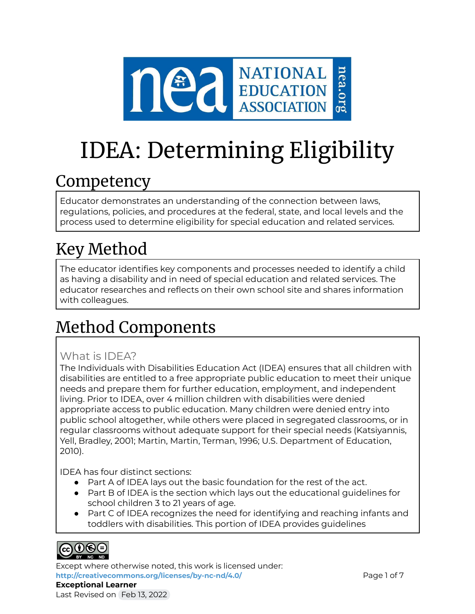

# IDEA: Determining Eligibility

### **Competency**

Educator demonstrates an understanding of the connection between laws, regulations, policies, and procedures at the federal, state, and local levels and the process used to determine eligibility for special education and related services.

# Key Method

The educator identifies key components and processes needed to identify a child as having a disability and in need of special education and related services. The educator researches and reflects on their own school site and shares information with colleagues.

## Method Components

### What is IDEA?

The Individuals with Disabilities Education Act (IDEA) ensures that all children with disabilities are entitled to a free appropriate public education to meet their unique needs and prepare them for further education, employment, and independent living. Prior to IDEA, over 4 million children with disabilities were denied appropriate access to public education. Many children were denied entry into public school altogether, while others were placed in segregated classrooms, or in regular classrooms without adequate support for their special needs (Katsiyannis, Yell, Bradley, 2001; Martin, Martin, Terman, 1996; U.S. Department of Education, 2010).

IDEA has four distinct sections:

- Part A of IDEA lays out the basic foundation for the rest of the act.
- Part B of IDEA is the section which lays out the educational guidelines for school children 3 to 21 years of age.
- Part C of IDEA recognizes the need for identifying and reaching infants and toddlers with disabilities. This portion of IDEA provides guidelines



Except where otherwise noted, this work is licensed under: <http://creativecommons.org/licenses/by-nc-nd/4.0/> **Page 1 of 7** Page 1 of 7 **Exceptional Learner** Last Revised on Feb 13, 2022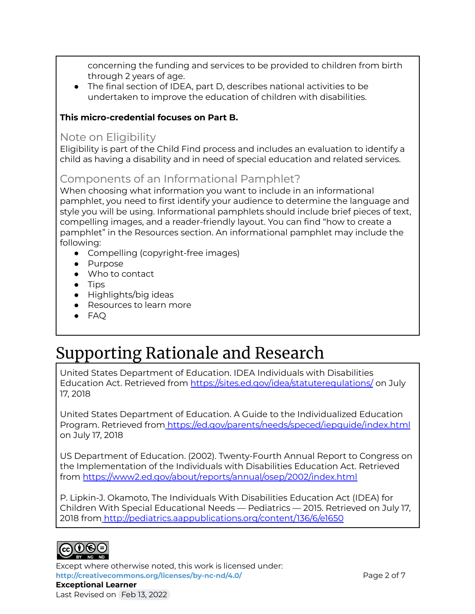concerning the funding and services to be provided to children from birth through 2 years of age.

● The final section of IDEA, part D, describes national activities to be undertaken to improve the education of children with disabilities.

### **This micro-credential focuses on Part B.**

### Note on Eligibility

Eligibility is part of the Child Find process and includes an evaluation to identify a child as having a disability and in need of special education and related services.

### Components of an Informational Pamphlet?

When choosing what information you want to include in an informational pamphlet, you need to first identify your audience to determine the language and style you will be using. Informational pamphlets should include brief pieces of text, compelling images, and a reader-friendly layout. You can find "how to create a pamphlet" in the Resources section. An informational pamphlet may include the following:

- Compelling (copyright-free images)
- Purpose
- Who to contact
- Tips
- Highlights/big ideas
- Resources to learn more
- FAQ

### Supporting Rationale and Research

United States Department of Education. IDEA Individuals with Disabilities Education Act. Retrieved from <https://sites.ed.gov/idea/statuteregulations/> on July 17, 2018

United States Department of Education. A Guide to the Individualized Education Program. Retrieved from <https://ed.gov/parents/needs/speced/iepguide/index.html> on July 17, 2018

US Department of Education. (2002). Twenty-Fourth Annual Report to Congress on the Implementation of the Individuals with Disabilities Education Act. Retrieved from <https://www2.ed.gov/about/reports/annual/osep/2002/index.html>

P. Lipkin-J. Okamoto, The Individuals With Disabilities Education Act (IDEA) for Children With Special Educational Needs — Pediatrics — 2015. Retrieved on July 17, 2018 from <http://pediatrics.aappublications.org/content/136/6/e1650>



Except where otherwise noted, this work is licensed under: **<http://creativecommons.org/licenses/by-nc-nd/4.0/>** Page 2 of 7 **Exceptional Learner** Last Revised on Feb 13, 2022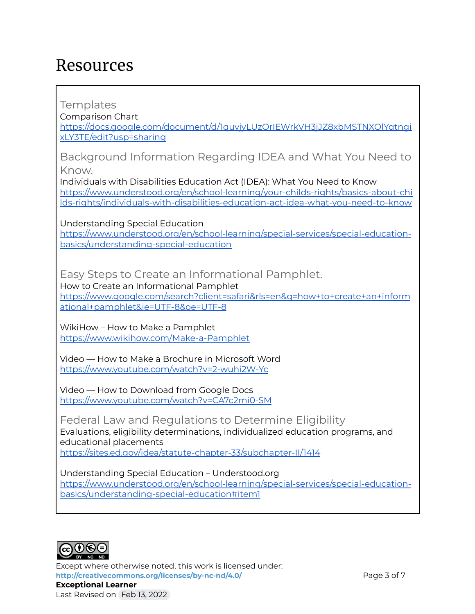### Resources

Templates

Comparison Chart

[https://docs.google.com/document/d/1quvjyLUzQrIEWrkVH3jJZ8xbMSTNXOlYqtngi](https://docs.google.com/document/d/1quvjyLUzQrIEWrkVH3jJZ8xbMSTNXOlYqtngixLY3TE/edit?usp=sharing) [xLY3TE/edit?usp=sharing](https://docs.google.com/document/d/1quvjyLUzQrIEWrkVH3jJZ8xbMSTNXOlYqtngixLY3TE/edit?usp=sharing)

Background Information Regarding IDEA and What You Need to Know.

Individuals with Disabilities Education Act (IDEA): What You Need to Know [https://www.understood.org/en/school-learning/your-childs-rights/basics-about-chi](https://www.understood.org/en/school-learning/your-childs-rights/basics-about-childs-rights/individuals-with-disabilities-education-act-idea-what-you-need-to-know) [lds-rights/individuals-with-disabilities-education-act-idea-what-you-need-to-know](https://www.understood.org/en/school-learning/your-childs-rights/basics-about-childs-rights/individuals-with-disabilities-education-act-idea-what-you-need-to-know)

Understanding Special Education

[https://www.understood.org/en/school-learning/special-services/special-education](https://www.understood.org/en/school-learning/special-services/special-education-basics/understanding-special-education)[basics/understanding-special-education](https://www.understood.org/en/school-learning/special-services/special-education-basics/understanding-special-education)

Easy Steps to Create an Informational Pamphlet.

How to Create an Informational Pamphlet [https://www.google.com/search?client=safari&rls=en&q=how+to+create+an+inform](https://www.google.com/search?client=safari&rls=en&q=how+to+create+an+informational+pamphlet&ie=UTF-8&oe=UTF-8) [ational+pamphlet&ie=UTF-8&oe=UTF-8](https://www.google.com/search?client=safari&rls=en&q=how+to+create+an+informational+pamphlet&ie=UTF-8&oe=UTF-8)

WikiHow – How to Make a Pamphlet <https://www.wikihow.com/Make-a-Pamphlet>

Video — How to Make a Brochure in Microsoft Word <https://www.youtube.com/watch?v=2-wuhi2W-Yc>

Video — How to Download from Google Docs <https://www.youtube.com/watch?v=CA7c2mi0-SM>

Federal Law and Regulations to Determine Eligibility Evaluations, eligibility determinations, individualized education programs, and educational placements

<https://sites.ed.gov/idea/statute-chapter-33/subchapter-II/1414>

Understanding Special Education – Understood.org [https://www.understood.org/en/school-learning/special-services/special-education](https://www.understood.org/en/school-learning/special-services/special-education-basics/understanding-special-education#item1)[basics/understanding-special-education#item1](https://www.understood.org/en/school-learning/special-services/special-education-basics/understanding-special-education#item1)



Except where otherwise noted, this work is licensed under: **<http://creativecommons.org/licenses/by-nc-nd/4.0/>** Page 3 of 7 **Exceptional Learner** Last Revised on Feb 13, 2022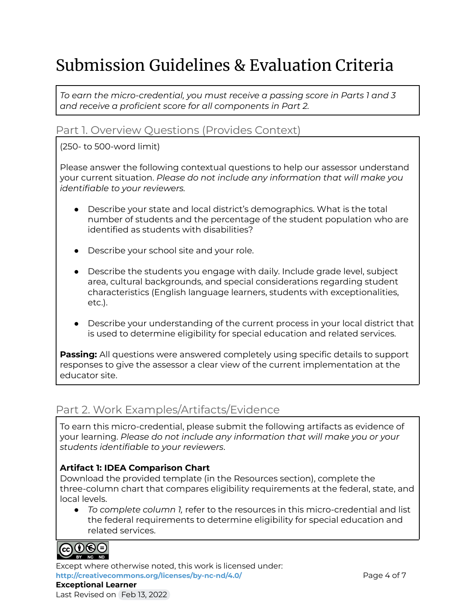# Submission Guidelines & Evaluation Criteria

*To earn the micro-credential, you must receive a passing score in Parts 1 and 3 and receive a proficient score for all components in Part 2.*

### Part 1. Overview Questions (Provides Context)

#### (250- to 500-word limit)

Please answer the following contextual questions to help our assessor understand your current situation. *Please do not include any information that will make you identifiable to your reviewers.*

- Describe your state and local district's demographics. What is the total number of students and the percentage of the student population who are identified as students with disabilities?
- Describe your school site and your role.
- Describe the students you engage with daily. Include grade level, subject area, cultural backgrounds, and special considerations regarding student characteristics (English language learners, students with exceptionalities, etc.).
- Describe your understanding of the current process in your local district that is used to determine eligibility for special education and related services.

**Passing:** All questions were answered completely using specific details to support responses to give the assessor a clear view of the current implementation at the educator site.

### Part 2. Work Examples/Artifacts/Evidence

To earn this micro-credential, please submit the following artifacts as evidence of your learning. *Please do not include any information that will make you or your students identifiable to your reviewers*.

### **Artifact 1: IDEA Comparison Chart**

Download the provided template (in the Resources section), complete the three-column chart that compares eligibility requirements at the federal, state, and local levels.

● *To complete column 1,* refer to the resources in this micro-credential and list the federal requirements to determine eligibility for special education and related services.



Except where otherwise noted, this work is licensed under: **<http://creativecommons.org/licenses/by-nc-nd/4.0/>** Page 4 of 7 **Exceptional Learner**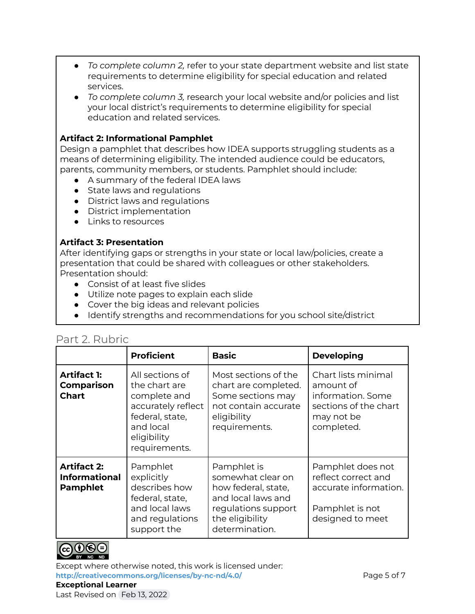- *To complete column 2,* refer to your state department website and list state requirements to determine eligibility for special education and related services.
- *To complete column 3,* research your local website and/or policies and list your local district's requirements to determine eligibility for special education and related services.

#### **Artifact 2: Informational Pamphlet**

Design a pamphlet that describes how IDEA supports struggling students as a means of determining eligibility. The intended audience could be educators, parents, community members, or students. Pamphlet should include:

- A summary of the federal IDEA laws
- State laws and regulations
- District laws and regulations
- District implementation
- Links to resources

#### **Artifact 3: Presentation**

After identifying gaps or strengths in your state or local law/policies, create a presentation that could be shared with colleagues or other stakeholders. Presentation should:

- Consist of at least five slides
- Utilize note pages to explain each slide
- Cover the big ideas and relevant policies
- Identify strengths and recommendations for you school site/district

### Part 2. Rubric

|                                                               | <b>Proficient</b>                                                                                                                      | <b>Basic</b>                                                                                                                              | <b>Developing</b>                                                                                          |
|---------------------------------------------------------------|----------------------------------------------------------------------------------------------------------------------------------------|-------------------------------------------------------------------------------------------------------------------------------------------|------------------------------------------------------------------------------------------------------------|
| <b>Artifact 1:</b><br><b>Comparison</b><br><b>Chart</b>       | All sections of<br>the chart are<br>complete and<br>accurately reflect<br>federal, state,<br>and local<br>eligibility<br>requirements. | Most sections of the<br>chart are completed.<br>Some sections may<br>not contain accurate<br>eligibility<br>requirements.                 | Chart lists minimal<br>amount of<br>information. Some<br>sections of the chart<br>may not be<br>completed. |
| <b>Artifact 2:</b><br><b>Informational</b><br><b>Pamphlet</b> | Pamphlet<br>explicitly<br>describes how<br>federal, state,<br>and local laws<br>and regulations<br>support the                         | Pamphlet is<br>somewhat clear on<br>how federal, state,<br>and local laws and<br>regulations support<br>the eligibility<br>determination. | Pamphlet does not<br>reflect correct and<br>accurate information.<br>Pamphlet is not<br>designed to meet   |



Except where otherwise noted, this work is licensed under: **<http://creativecommons.org/licenses/by-nc-nd/4.0/>** Page 5 of 7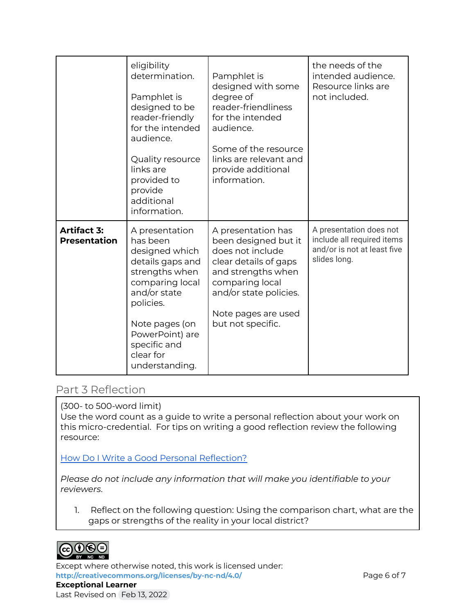|                                           | eligibility<br>determination.<br>Pamphlet is<br>designed to be<br>reader-friendly<br>for the intended<br>audience.<br>Quality resource<br>links are<br>provided to<br>provide<br>additional<br>information.            | Pamphlet is<br>designed with some<br>degree of<br>reader-friendliness<br>for the intended<br>audience.<br>Some of the resource<br>links are relevant and<br>provide additional<br>information.         | the needs of the<br>intended audience.<br>Resource links are<br>not included.                        |
|-------------------------------------------|------------------------------------------------------------------------------------------------------------------------------------------------------------------------------------------------------------------------|--------------------------------------------------------------------------------------------------------------------------------------------------------------------------------------------------------|------------------------------------------------------------------------------------------------------|
| <b>Artifact 3:</b><br><b>Presentation</b> | A presentation<br>has been<br>designed which<br>details gaps and<br>strengths when<br>comparing local<br>and/or state<br>policies.<br>Note pages (on<br>PowerPoint) are<br>specific and<br>clear for<br>understanding. | A presentation has<br>been designed but it<br>does not include<br>clear details of gaps<br>and strengths when<br>comparing local<br>and/or state policies.<br>Note pages are used<br>but not specific. | A presentation does not<br>include all required items<br>and/or is not at least five<br>slides long. |

### Part 3 Reflection

(300- to 500-word limit)

Use the word count as a guide to write a personal reflection about your work on this micro-credential. For tips on writing a good reflection review the following resource:

How Do I Write a Good Personal [Reflection?](https://isthismystory.com/learning/how-do-i-write-a-good-personal-reflection/)

*Please do not include any information that will make you identifiable to your reviewers*.

1. Reflect on the following question: Using the comparison chart, what are the gaps or strengths of the reality in your local district?



Except where otherwise noted, this work is licensed under: <http://creativecommons.org/licenses/by-nc-nd/4.0/> **Page 6 of 7 Exceptional Learner** Last Revised on Feb 13, 2022